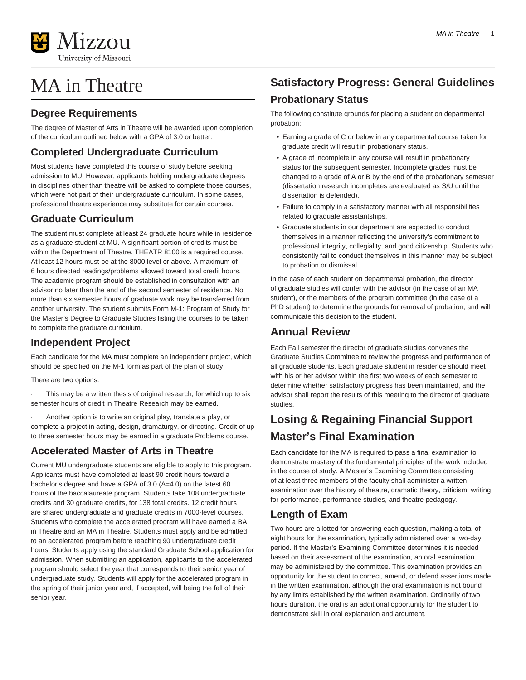

# MA in Theatre

### **Degree Requirements**

The degree of Master of Arts in Theatre will be awarded upon completion of the curriculum outlined below with a GPA of 3.0 or better.

### **Completed Undergraduate Curriculum**

Most students have completed this course of study before seeking admission to MU. However, applicants holding undergraduate degrees in disciplines other than theatre will be asked to complete those courses, which were not part of their undergraduate curriculum. In some cases, professional theatre experience may substitute for certain courses.

### **Graduate Curriculum**

The student must complete at least 24 graduate hours while in residence as a graduate student at MU. A significant portion of credits must be within the Department of Theatre. THEATR 8100 is a required course. At least 12 hours must be at the 8000 level or above. A maximum of 6 hours directed readings/problems allowed toward total credit hours. The academic program should be established in consultation with an advisor no later than the end of the second semester of residence. No more than six semester hours of graduate work may be transferred from another university. The student submits Form M-1: Program of Study for the Master's Degree to Graduate Studies listing the courses to be taken to complete the graduate curriculum.

### **Independent Project**

Each candidate for the MA must complete an independent project, which should be specified on the M-1 form as part of the plan of study.

There are two options:

This may be a written thesis of original research, for which up to six semester hours of credit in Theatre Research may be earned.

· Another option is to write an original play, translate a play, or complete a project in acting, design, dramaturgy, or directing. Credit of up to three semester hours may be earned in a graduate Problems course.

### **Accelerated Master of Arts in Theatre**

Current MU undergraduate students are eligible to apply to this program. Applicants must have completed at least 90 credit hours toward a bachelor's degree and have a GPA of 3.0 (A=4.0) on the latest 60 hours of the baccalaureate program. Students take 108 undergraduate credits and 30 graduate credits, for 138 total credits. 12 credit hours are shared undergraduate and graduate credits in 7000-level courses. Students who complete the accelerated program will have earned a BA in Theatre and an MA in Theatre. Students must apply and be admitted to an accelerated program before reaching 90 undergraduate credit hours. Students apply using the standard Graduate School application for admission. When submitting an application, applicants to the accelerated program should select the year that corresponds to their senior year of undergraduate study. Students will apply for the accelerated program in the spring of their junior year and, if accepted, will being the fall of their senior year.

### **Satisfactory Progress: General Guidelines Probationary Status**

The following constitute grounds for placing a student on departmental probation:

- Earning a grade of C or below in any departmental course taken for graduate credit will result in probationary status.
- A grade of incomplete in any course will result in probationary status for the subsequent semester. Incomplete grades must be changed to a grade of A or B by the end of the probationary semester (dissertation research incompletes are evaluated as S/U until the dissertation is defended).
- Failure to comply in a satisfactory manner with all responsibilities related to graduate assistantships.
- Graduate students in our department are expected to conduct themselves in a manner reflecting the university's commitment to professional integrity, collegiality, and good citizenship. Students who consistently fail to conduct themselves in this manner may be subject to probation or dismissal.

In the case of each student on departmental probation, the director of graduate studies will confer with the advisor (in the case of an MA student), or the members of the program committee (in the case of a PhD student) to determine the grounds for removal of probation, and will communicate this decision to the student.

### **Annual Review**

Each Fall semester the director of graduate studies convenes the Graduate Studies Committee to review the progress and performance of all graduate students. Each graduate student in residence should meet with his or her advisor within the first two weeks of each semester to determine whether satisfactory progress has been maintained, and the advisor shall report the results of this meeting to the director of graduate studies.

### **Losing & Regaining Financial Support Master's Final Examination**

Each candidate for the MA is required to pass a final examination to demonstrate mastery of the fundamental principles of the work included in the course of study. A Master's Examining Committee consisting of at least three members of the faculty shall administer a written examination over the history of theatre, dramatic theory, criticism, writing for performance, performance studies, and theatre pedagogy.

### **Length of Exam**

Two hours are allotted for answering each question, making a total of eight hours for the examination, typically administered over a two-day period. If the Master's Examining Committee determines it is needed based on their assessment of the examination, an oral examination may be administered by the committee. This examination provides an opportunity for the student to correct, amend, or defend assertions made in the written examination, although the oral examination is not bound by any limits established by the written examination. Ordinarily of two hours duration, the oral is an additional opportunity for the student to demonstrate skill in oral explanation and argument.